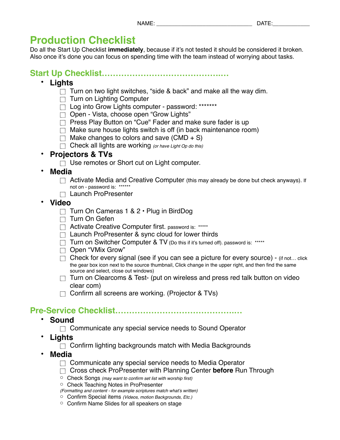# **Production Checklist**

Do all the Start Up Checklist **immediately**, because if it's not tested it should be considered it broken. Also once it's done you can focus on spending time with the team instead of worrying about tasks.

**Start Up Checklist…………………………………….…**

- **Lights**
	- $\Box$  Turn on two light switches, "side & back" and make all the way dim.
	- $\Box$  Turn on Lighting Computer
	- □ Log into Grow Lights computer password: \*\*\*\*\*\*\*
	- □ Open Vista, choose open "Grow Lights"
	- $\Box$  Press Play Button on "Cue" Fader and make sure fader is up
	- $\Box$  Make sure house lights switch is off (in back maintenance room)
	- $\Box$  Make changes to colors and save (CMD + S)
	- Check all lights are working *(or have Light Op do this)*

# • **Projectors & TVs**

- $\Box$  Use remotes or Short cut on Light computer.
- **Media**
	- $\Box$  Activate Media and Creative Computer (this may already be done but check anyways). If not on - password is: \*\*\*\*\*\*
	- $\Box$  Launch ProPresenter
- **Video**
	- $\Box$  Turn On Cameras 1 & 2  $\cdot$  Plug in BirdDog
	- $\Box$  Turn On Gefen
	- Activate Creative Computer first. password is: \*\*\*\*\*
	- $\Box$  Launch ProPresenter & sync cloud for lower thirds
	- Turn on Switcher Computer & TV (Do this if it's turned off). password is: \*\*\*\*\*
	- □ Open "VMix Grow"
	- $\Box$  Check for every signal (see if you can see a picture for every source) (if not... click the gear box icon next to the source thumbnail, Click change in the upper right, and then find the same source and select, close out windows)
	- $\Box$  Turn on Clearcoms & Test- (put on wireless and press red talk button on video clear com)
	- $\Box$  Confirm all screens are working. (Projector & TVs)

# **Pre-Service Checklist…………………………………….…**

- **Sound**
	- $\Box$  Communicate any special service needs to Sound Operator
- **Lights**
	- $\Box$  Confirm lighting backgrounds match with Media Backgrounds
- **Media**
	- $\Box$  Communicate any special service needs to Media Operator
	- Cross check ProPresenter with Planning Center **before** Run Through
	- o Check Songs *(may want to confirm set list with worship first)*
	- o Check Teaching Notes in ProPresenter
	- *(Formatting and content for example scriptures match what's written)*
	- o Confirm Special items *(Videos, motion Backgrounds, Etc.)*
	- o Confirm Name Slides for all speakers on stage